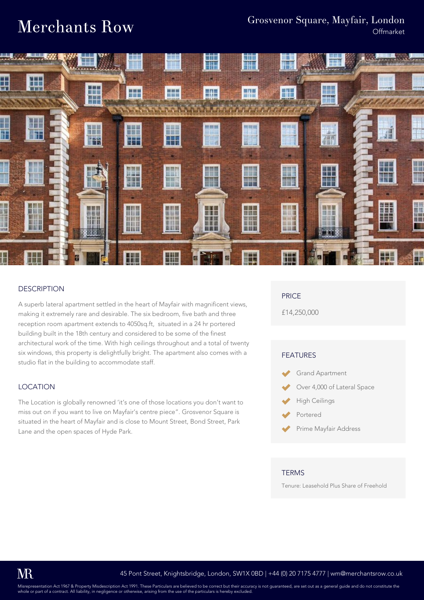## **Merchants Row**

### Grosvenor Square, Mayfair, London

**Offmarket** 



#### **DESCRIPTION**

A superb lateral apartment settled in the heart of Mayfair with magnificent views, making it extremely rare and desirable. The six bedroom, five bath and three reception room apartment extends to 4050sq.ft, situated in a 24 hr portered building built in the 18th century and considered to be some of the finest architectural work of the time. With high ceilings throughout and a total of twenty six windows, this property is delightfully bright. The apartment also comes with a studio flat in the building to accommodate staff.

#### LOCATION

The Location is globally renowned 'it's one of those locations you don't want to miss out on if you want to live on Mayfair's centre piece". Grosvenor Square is situated in the heart of Mayfair and is close to Mount Street, Bond Street, Park Lane and the open spaces of Hyde Park.

#### PRICE

£14,250,000

#### FEATURES

- Grand Apartment
- Over 4,000 of Lateral Space
- High Ceilings
- Portered
- Prime Mayfair Address

#### **TFRMS**

Tenure: Leasehold Plus Share of Freehold

Misrepresentation Act 1967 & Property Misdescription Act 1991. These Particulars are believed to be correct but their accuracy is not guaranteed, are set out as a general guide and do not constitute the or part of a contract. All liability, in negligence or otherwise, arising from the use of the particulars is hereby excluded.